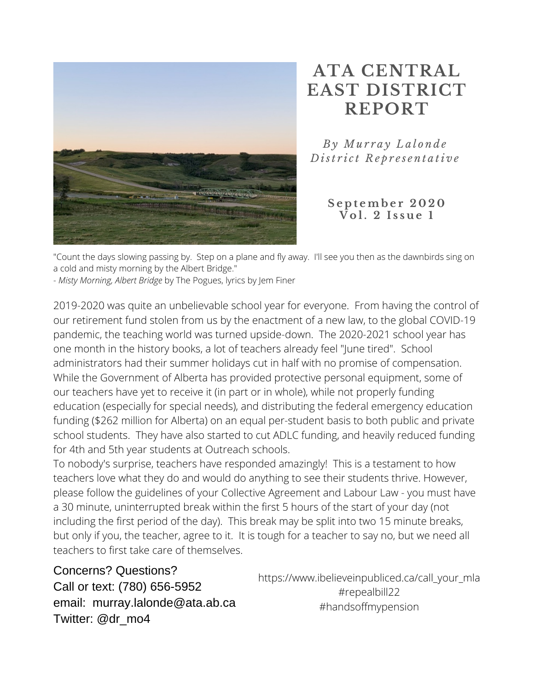

### **ATA CENTRAL EAST DISTRICT REPORT**

*B y Mu r r a y L a l o n d e D ist r i c t R e p r e s e n t a ti v e*

> **S e p t emb e r 2 0 2 0**  $\sqrt{8}$   $\sqrt{61}$ , 2 **Issue** 1

"Count the days slowing passing by. Step on a plane and fly away. I'll see you then as the dawnbirds sing on a cold and misty morning by the Albert Bridge."

- *Misty Morning, Albert Bridge* by The Pogues, lyrics by Jem Finer

2019-2020 was quite an unbelievable school year for everyone. From having the control of our retirement fund stolen from us by the enactment of a new law, to the global COVID-19 pandemic, the teaching world was turned upside-down. The 2020-2021 school year has one month in the history books, a lot of teachers already feel "June tired". School administrators had their summer holidays cut in half with no promise of compensation. While the Government of Alberta has provided protective personal equipment, some of our teachers have yet to receive it (in part or in whole), while not properly funding education (especially for special needs), and distributing the federal emergency education funding (\$262 million for Alberta) on an equal per-student basis to both public and private school students. They have also started to cut ADLC funding, and heavily reduced funding for 4th and 5th year students at Outreach schools.

To nobody's surprise, teachers have responded amazingly! This is a testament to how teachers love what they do and would do anything to see their students thrive. However, please follow the guidelines of your Collective Agreement and Labour Law - you must have a 30 minute, uninterrupted break within the first 5 hours of the start of your day (not including the first period of the day). This break may be split into two 15 minute breaks, but only if you, the teacher, agree to it. It is tough for a teacher to say no, but we need all teachers to first take care of themselves.

Concerns? Questions? Call or text: (780) 656-5952 email: murray.lalonde@ata.ab.ca Twitter: @dr\_mo4

https://www.ibelieveinpubliced.ca/call\_your\_mla #repealbill22 #handsoffmypension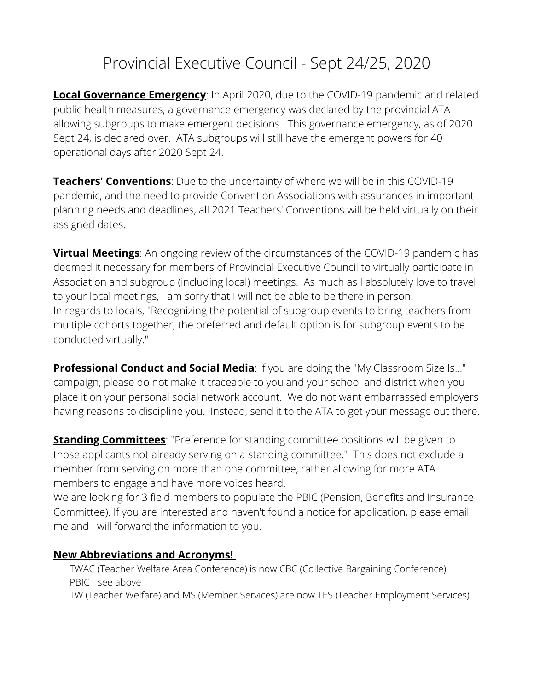### Provincial Executive Council - Sept 24/25, 2020

**Local Governance Emergency**: In April 2020, due to the COVID-19 pandemic and related public health measures, a governance emergency was declared by the provincial ATA allowing subgroups to make emergent decisions. This governance emergency, as of 2020 Sept 24, is declared over. ATA subgroups will still have the emergent powers for 40 operational days after 2020 Sept 24.

**Teachers' Conventions**: Due to the uncertainty of where we will be in this COVID-19 pandemic, and the need to provide Convention Associations with assurances in important planning needs and deadlines, all 2021 Teachers' Conventions will be held virtually on their assigned dates.

**Virtual Meetings:** An ongoing review of the circumstances of the COVID-19 pandemic has deemed it necessary for members of Provincial Executive Council to virtually participate in Association and subgroup (including local) meetings. As much as I absolutely love to travel to your local meetings, I am sorry that I will not be able to be there in person. In regards to locals, "Recognizing the potential of subgroup events to bring teachers from multiple cohorts together, the preferred and default option is for subgroup events to be conducted virtually."

**Professional Conduct and Social Media**: If you are doing the "My Classroom Size Is..." campaign, please do not make it traceable to you and your school and district when you place it on your personal social network account. We do not want embarrassed employers having reasons to discipline you. Instead, send it to the ATA to get your message out there.

**Standing Committees**: "Preference for standing committee positions will be given to those applicants not already serving on a standing committee." This does not exclude a member from serving on more than one committee, rather allowing for more ATA members to engage and have more voices heard.

We are looking for 3 field members to populate the PBIC (Pension, Benefits and Insurance Committee). If you are interested and haven't found a notice for application, please email me and I will forward the information to you.

#### **New Abbreviations and Acronyms!**

TWAC (Teacher Welfare Area Conference) is now CBC (Collective Bargaining Conference) PBIC - see above

TW (Teacher Welfare) and MS (Member Services) are now TES (Teacher Employment Services)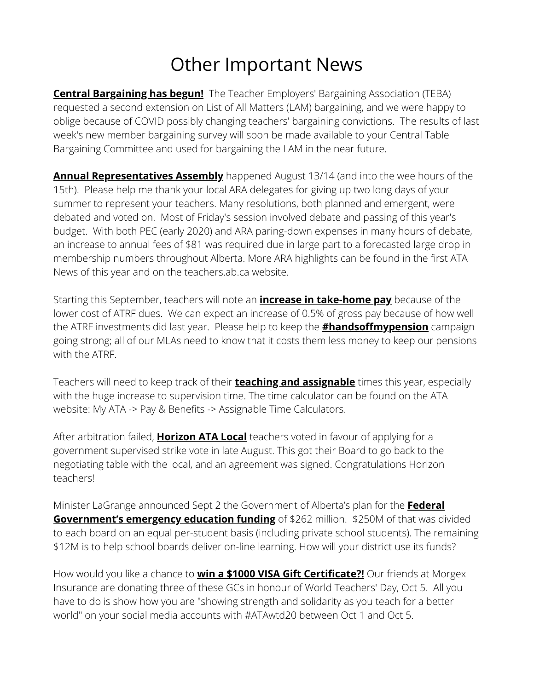### Other Important News

**Central Bargaining has begun!** The Teacher Employers' Bargaining Association (TEBA) requested a second extension on List of All Matters (LAM) bargaining, and we were happy to oblige because of COVID possibly changing teachers' bargaining convictions. The results of last week's new member bargaining survey will soon be made available to your Central Table Bargaining Committee and used for bargaining the LAM in the near future.

**Annual Representatives Assembly** happened August 13/14 (and into the wee hours of the 15th). Please help me thank your local ARA delegates for giving up two long days of your summer to represent your teachers. Many resolutions, both planned and emergent, were debated and voted on. Most of Friday's session involved debate and passing of this year's budget. With both PEC (early 2020) and ARA paring-down expenses in many hours of debate, an increase to annual fees of \$81 was required due in large part to a forecasted large drop in membership numbers throughout Alberta. More ARA highlights can be found in the first ATA News of this year and on the teachers.ab.ca website.

Starting this September, teachers will note an **increase in take-home pay** because of the lower cost of ATRF dues. We can expect an increase of 0.5% of gross pay because of how well the ATRF investments did last year. Please help to keep the **#handsoffmypension** campaign going strong; all of our MLAs need to know that it costs them less money to keep our pensions with the ATRF.

Teachers will need to keep track of their **teaching and assignable** times this year, especially with the huge increase to supervision time. The time calculator can be found on the ATA website: My ATA -> Pay & Benefits -> Assignable Time Calculators.

After arbitration failed, **Horizon ATA Local** teachers voted in favour of applying for a government supervised strike vote in late August. This got their Board to go back to the negotiating table with the local, and an agreement was signed. Congratulations Horizon teachers!

Minister LaGrange announced Sept 2 the Government of Alberta's plan for the **Federal Government's emergency education funding** of \$262 million. \$250M of that was divided to each board on an equal per-student basis (including private school students). The remaining \$12M is to help school boards deliver on-line learning. How will your district use its funds?

How would you like a chance to **win a \$1000 VISA Gift Certificate?!** Our friends at Morgex Insurance are donating three of these GCs in honour of World Teachers' Day, Oct 5. All you have to do is show how you are "showing strength and solidarity as you teach for a better world" on your social media accounts with #ATAwtd20 between Oct 1 and Oct 5.